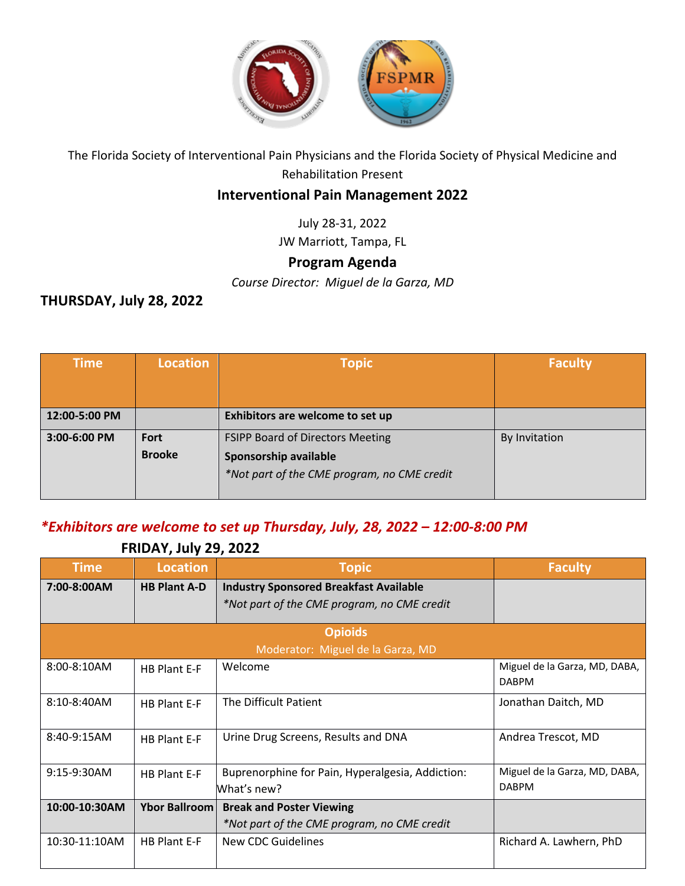

The Florida Society of Interventional Pain Physicians and the Florida Society of Physical Medicine and Rehabilitation Present

#### **Interventional Pain Management 2022**

July 28-31, 2022

JW Marriott, Tampa, FL

### **Program Agenda**

*Course Director: Miguel de la Garza, MD*

### **THURSDAY, July 28, 2022**

| <b>Time</b>   | <b>Location</b>       | <b>Topic</b>                                                                                                    | <b>Faculty</b> |
|---------------|-----------------------|-----------------------------------------------------------------------------------------------------------------|----------------|
|               |                       |                                                                                                                 |                |
| 12:00-5:00 PM |                       | Exhibitors are welcome to set up                                                                                |                |
| 3:00-6:00 PM  | Fort<br><b>Brooke</b> | <b>FSIPP Board of Directors Meeting</b><br>Sponsorship available<br>*Not part of the CME program, no CME credit | By Invitation  |

### *\*Exhibitors are welcome to set up Thursday, July, 28, 2022 – 12:00-8:00 PM*

| <b>FRIDAI, JUIY 43, 4044</b> |                      |                                                  |                                               |
|------------------------------|----------------------|--------------------------------------------------|-----------------------------------------------|
| <b>Time</b>                  | <b>Location</b>      | <b>Topic</b>                                     | <b>Faculty</b>                                |
| 7:00-8:00AM                  | <b>HB Plant A-D</b>  | <b>Industry Sponsored Breakfast Available</b>    |                                               |
|                              |                      | *Not part of the CME program, no CME credit      |                                               |
|                              |                      | <b>Opioids</b>                                   |                                               |
|                              |                      | Moderator: Miguel de la Garza, MD                |                                               |
| $8:00-8:10AM$                | HB Plant E-F         | Welcome                                          | Miguel de la Garza, MD, DABA,<br><b>DABPM</b> |
| 8:10-8:40AM                  | HB Plant E-F         | The Difficult Patient                            | Jonathan Daitch, MD                           |
| 8:40-9:15AM                  | HB Plant E-F         | Urine Drug Screens, Results and DNA              | Andrea Trescot, MD                            |
| 9:15-9:30AM                  | HB Plant E-F         | Buprenorphine for Pain, Hyperalgesia, Addiction: | Miguel de la Garza, MD, DABA,                 |
|                              |                      | What's new?                                      | <b>DABPM</b>                                  |
| 10:00-10:30AM                | <b>Ybor Ballroom</b> | <b>Break and Poster Viewing</b>                  |                                               |
|                              |                      | *Not part of the CME program, no CME credit      |                                               |
| 10:30-11:10AM                | <b>HB Plant E-F</b>  | <b>New CDC Guidelines</b>                        | Richard A. Lawhern, PhD                       |

## **FRIDAY, July 29, 2022**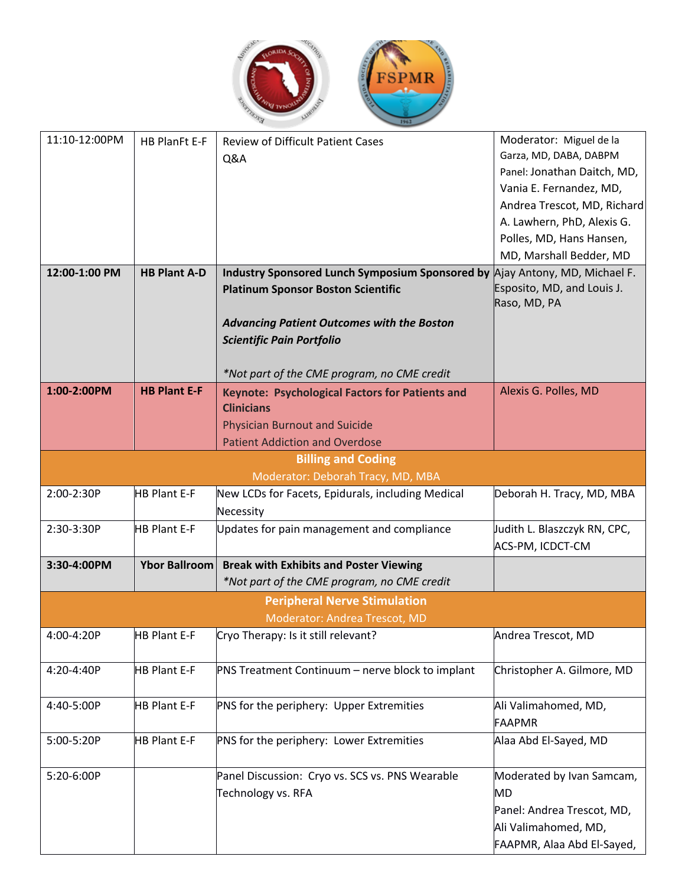

| 11:10-12:00PM | <b>HB PlanFt E-F</b> | <b>Review of Difficult Patient Cases</b>               | Moderator: Miguel de la                          |
|---------------|----------------------|--------------------------------------------------------|--------------------------------------------------|
|               |                      | Q&A                                                    | Garza, MD, DABA, DABPM                           |
|               |                      |                                                        | Panel: Jonathan Daitch, MD,                      |
|               |                      |                                                        | Vania E. Fernandez, MD,                          |
|               |                      |                                                        | Andrea Trescot, MD, Richard                      |
|               |                      |                                                        | A. Lawhern, PhD, Alexis G.                       |
|               |                      |                                                        | Polles, MD, Hans Hansen,                         |
|               |                      |                                                        | MD, Marshall Bedder, MD                          |
| 12:00-1:00 PM | <b>HB Plant A-D</b>  | <b>Industry Sponsored Lunch Symposium Sponsored by</b> | Ajay Antony, MD, Michael F.                      |
|               |                      | <b>Platinum Sponsor Boston Scientific</b>              | Esposito, MD, and Louis J.<br>Raso, MD, PA       |
|               |                      | <b>Advancing Patient Outcomes with the Boston</b>      |                                                  |
|               |                      | <b>Scientific Pain Portfolio</b>                       |                                                  |
|               |                      |                                                        |                                                  |
|               |                      | *Not part of the CME program, no CME credit            |                                                  |
| 1:00-2:00PM   | <b>HB Plant E-F</b>  | <b>Keynote: Psychological Factors for Patients and</b> | Alexis G. Polles, MD                             |
|               |                      | <b>Clinicians</b>                                      |                                                  |
|               |                      | <b>Physician Burnout and Suicide</b>                   |                                                  |
|               |                      | <b>Patient Addiction and Overdose</b>                  |                                                  |
|               |                      | <b>Billing and Coding</b>                              |                                                  |
|               |                      | Moderator: Deborah Tracy, MD, MBA                      |                                                  |
| 2:00-2:30P    | <b>HB Plant E-F</b>  | New LCDs for Facets, Epidurals, including Medical      | Deborah H. Tracy, MD, MBA                        |
|               |                      | Necessity                                              |                                                  |
| 2:30-3:30P    | <b>HB Plant E-F</b>  | Updates for pain management and compliance             | Judith L. Blaszczyk RN, CPC,<br>ACS-PM, ICDCT-CM |
| 3:30-4:00PM   | Ybor Ballroom        | <b>Break with Exhibits and Poster Viewing</b>          |                                                  |
|               |                      | *Not part of the CME program, no CME credit            |                                                  |
|               |                      | <b>Peripheral Nerve Stimulation</b>                    |                                                  |
|               |                      | Moderator: Andrea Trescot, MD                          |                                                  |
| 4:00-4:20P    | <b>HB Plant E-F</b>  | Cryo Therapy: Is it still relevant?                    | Andrea Trescot, MD                               |
| 4:20-4:40P    | <b>HB Plant E-F</b>  | PNS Treatment Continuum - nerve block to implant       | Christopher A. Gilmore, MD                       |
|               |                      |                                                        |                                                  |
| 4:40-5:00P    | <b>HB Plant E-F</b>  | PNS for the periphery: Upper Extremities               | Ali Valimahomed, MD,<br><b>FAAPMR</b>            |
| 5:00-5:20P    | <b>HB Plant E-F</b>  | PNS for the periphery: Lower Extremities               |                                                  |
|               |                      |                                                        | Alaa Abd El-Sayed, MD                            |
| 5:20-6:00P    |                      | Panel Discussion: Cryo vs. SCS vs. PNS Wearable        | Moderated by Ivan Samcam,                        |
|               |                      | Technology vs. RFA                                     | MD                                               |
|               |                      |                                                        | Panel: Andrea Trescot, MD,                       |
|               |                      |                                                        | Ali Valimahomed, MD,                             |
|               |                      |                                                        | FAAPMR, Alaa Abd El-Sayed,                       |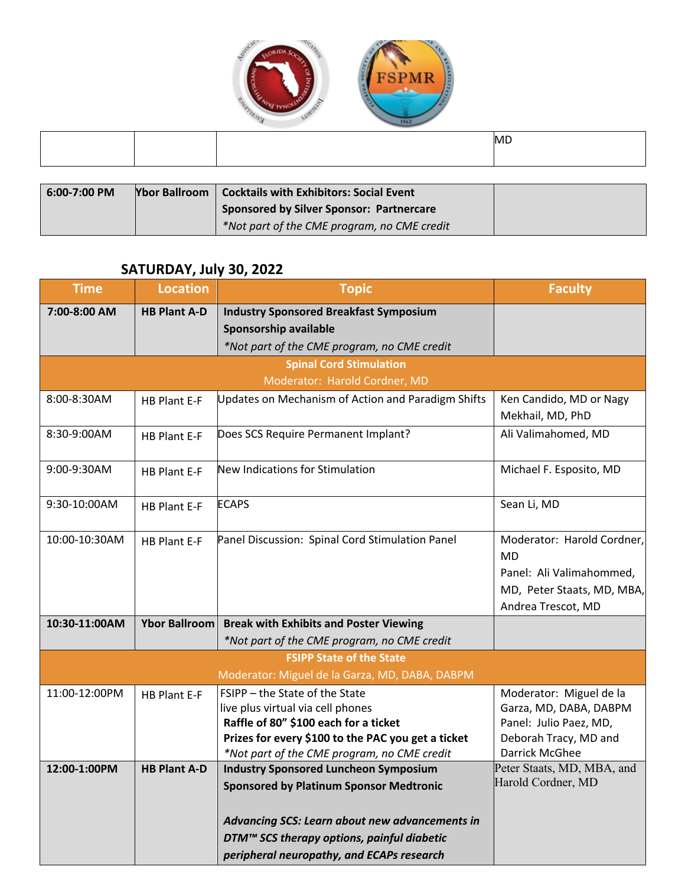

|  | <b>MD</b> |
|--|-----------|
|  |           |

| $6:00-7:00$ PM | <b>Ybor Ballroom</b> | Cocktails with Exhibitors: Social Event         |  |
|----------------|----------------------|-------------------------------------------------|--|
|                |                      | <b>Sponsored by Silver Sponsor: Partnercare</b> |  |
|                |                      | *Not part of the CME program, no CME credit     |  |

### **SATURDAY, July 30, 2022**

| <b>Time</b>   | <b>Location</b>      | <b>Topic</b>                                                                                      | <b>Faculty</b>                          |
|---------------|----------------------|---------------------------------------------------------------------------------------------------|-----------------------------------------|
| 7:00-8:00 AM  | <b>HB Plant A-D</b>  | <b>Industry Sponsored Breakfast Symposium</b>                                                     |                                         |
|               |                      | Sponsorship available                                                                             |                                         |
|               |                      | *Not part of the CME program, no CME credit                                                       |                                         |
|               |                      | <b>Spinal Cord Stimulation</b>                                                                    |                                         |
|               |                      | Moderator: Harold Cordner, MD                                                                     |                                         |
| 8:00-8:30AM   | <b>HB Plant E-F</b>  | <b>Updates on Mechanism of Action and Paradigm Shifts</b>                                         | Ken Candido, MD or Nagy                 |
|               |                      |                                                                                                   | Mekhail, MD, PhD                        |
| 8:30-9:00AM   | <b>HB Plant E-F</b>  | Does SCS Require Permanent Implant?                                                               | Ali Valimahomed, MD                     |
|               |                      |                                                                                                   |                                         |
| 9:00-9:30AM   | <b>HB Plant E-F</b>  | New Indications for Stimulation                                                                   | Michael F. Esposito, MD                 |
|               |                      |                                                                                                   |                                         |
| 9:30-10:00AM  | <b>HB Plant E-F</b>  | <b>ECAPS</b>                                                                                      | Sean Li, MD                             |
|               |                      |                                                                                                   |                                         |
| 10:00-10:30AM | <b>HB Plant E-F</b>  | Panel Discussion: Spinal Cord Stimulation Panel                                                   | Moderator: Harold Cordner,              |
|               |                      |                                                                                                   | <b>MD</b>                               |
|               |                      |                                                                                                   | Panel: Ali Valimahommed,                |
|               |                      |                                                                                                   | MD, Peter Staats, MD, MBA,              |
|               |                      |                                                                                                   | Andrea Trescot, MD                      |
| 10:30-11:00AM | <b>Ybor Ballroom</b> | <b>Break with Exhibits and Poster Viewing</b>                                                     |                                         |
|               |                      | *Not part of the CME program, no CME credit                                                       |                                         |
|               |                      | <b>FSIPP State of the State</b>                                                                   |                                         |
|               |                      | Moderator: Miguel de la Garza, MD, DABA, DABPM                                                    |                                         |
| 11:00-12:00PM | <b>HB Plant E-F</b>  | FSIPP - the State of the State                                                                    | Moderator: Miguel de la                 |
|               |                      | live plus virtual via cell phones                                                                 | Garza, MD, DABA, DABPM                  |
|               |                      | Raffle of 80" \$100 each for a ticket                                                             | Panel: Julio Paez, MD,                  |
|               |                      | Prizes for every \$100 to the PAC you get a ticket<br>*Not part of the CME program, no CME credit | Deborah Tracy, MD and<br>Darrick McGhee |
| 12:00-1:00PM  | <b>HB Plant A-D</b>  | <b>Industry Sponsored Luncheon Symposium</b>                                                      | Peter Staats, MD, MBA, and              |
|               |                      | <b>Sponsored by Platinum Sponsor Medtronic</b>                                                    | Harold Cordner, MD                      |
|               |                      |                                                                                                   |                                         |
|               |                      | Advancing SCS: Learn about new advancements in                                                    |                                         |
|               |                      | DTM™ SCS therapy options, painful diabetic                                                        |                                         |
|               |                      | peripheral neuropathy, and ECAPs research                                                         |                                         |
|               |                      |                                                                                                   |                                         |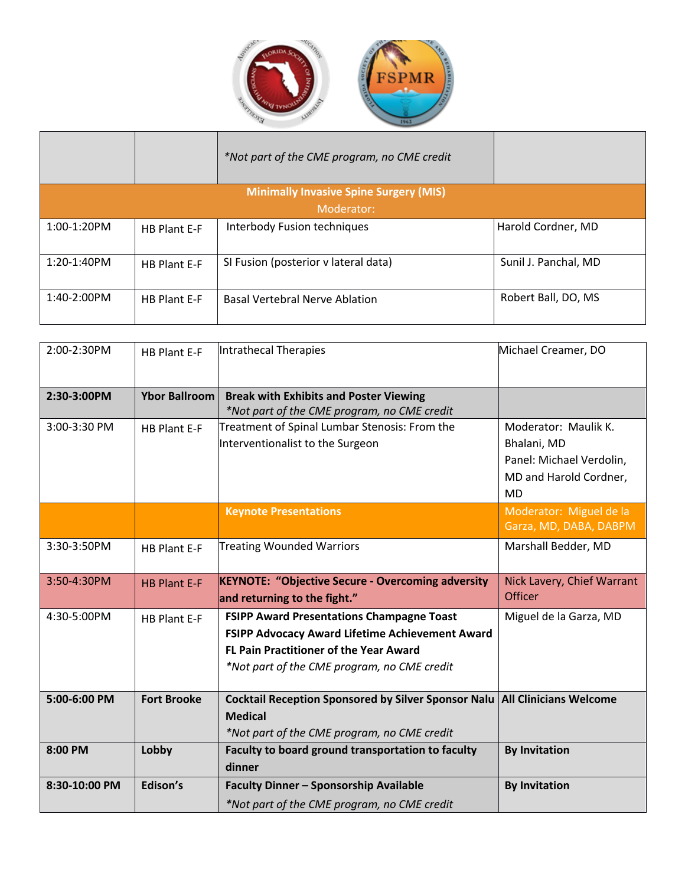

|               |                     | *Not part of the CME program, no CME credit   |                      |
|---------------|---------------------|-----------------------------------------------|----------------------|
|               |                     | <b>Minimally Invasive Spine Surgery (MIS)</b> |                      |
|               |                     | Moderator:                                    |                      |
| $1:00-1:20PM$ | <b>HB Plant E-F</b> | Interbody Fusion techniques                   | Harold Cordner, MD   |
| $1:20-1:40PM$ | <b>HB Plant E-F</b> | SI Fusion (posterior v lateral data)          | Sunil J. Panchal, MD |
| $1:40-2:00PM$ | <b>HB Plant E-F</b> | <b>Basal Vertebral Nerve Ablation</b>         | Robert Ball, DO, MS  |

| 2:00-2:30PM   | <b>HB Plant E-F</b>  | Intrathecal Therapies                                                                                                                                                                               | Michael Creamer, DO                                                                                    |
|---------------|----------------------|-----------------------------------------------------------------------------------------------------------------------------------------------------------------------------------------------------|--------------------------------------------------------------------------------------------------------|
| 2:30-3:00PM   | <b>Ybor Ballroom</b> | <b>Break with Exhibits and Poster Viewing</b><br>*Not part of the CME program, no CME credit                                                                                                        |                                                                                                        |
| 3:00-3:30 PM  | <b>HB Plant E-F</b>  | Treatment of Spinal Lumbar Stenosis: From the<br>Interventionalist to the Surgeon                                                                                                                   | Moderator: Maulik K.<br>Bhalani, MD<br>Panel: Michael Verdolin,<br>MD and Harold Cordner,<br><b>MD</b> |
|               |                      | <b>Keynote Presentations</b>                                                                                                                                                                        | Moderator: Miguel de la<br>Garza, MD, DABA, DABPM                                                      |
| 3:30-3:50PM   | <b>HB Plant E-F</b>  | <b>Treating Wounded Warriors</b>                                                                                                                                                                    | Marshall Bedder, MD                                                                                    |
| 3:50-4:30PM   | <b>HB Plant E-F</b>  | <b>KEYNOTE: "Objective Secure - Overcoming adversity</b><br>and returning to the fight."                                                                                                            | Nick Lavery, Chief Warrant<br><b>Officer</b>                                                           |
| 4:30-5:00PM   | <b>HB Plant E-F</b>  | <b>FSIPP Award Presentations Champagne Toast</b><br>FSIPP Advocacy Award Lifetime Achievement Award<br><b>FL Pain Practitioner of the Year Award</b><br>*Not part of the CME program, no CME credit | Miguel de la Garza, MD                                                                                 |
| 5:00-6:00 PM  | <b>Fort Brooke</b>   | Cocktail Reception Sponsored by Silver Sponsor Nalu   All Clinicians Welcome<br><b>Medical</b><br>*Not part of the CME program, no CME credit                                                       |                                                                                                        |
| 8:00 PM       | Lobby                | Faculty to board ground transportation to faculty<br>dinner                                                                                                                                         | <b>By Invitation</b>                                                                                   |
| 8:30-10:00 PM | Edison's             | Faculty Dinner - Sponsorship Available<br>*Not part of the CME program, no CME credit                                                                                                               | <b>By Invitation</b>                                                                                   |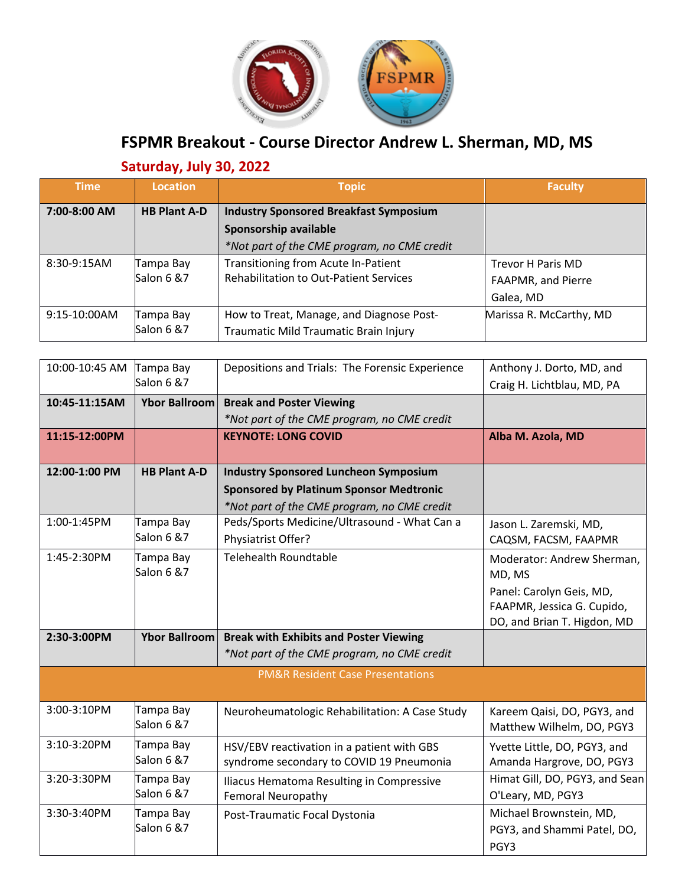

# **FSPMR Breakout - Course Director Andrew L. Sherman, MD, MS**

# **Saturday, July 30, 2022**

| <b>Time</b>   | Location            | <b>Topic</b>                                  | <b>Faculty</b>          |
|---------------|---------------------|-----------------------------------------------|-------------------------|
| 7:00-8:00 AM  | <b>HB Plant A-D</b> | <b>Industry Sponsored Breakfast Symposium</b> |                         |
|               |                     | Sponsorship available                         |                         |
|               |                     | *Not part of the CME program, no CME credit   |                         |
| $8:30-9:15AM$ | Tampa Bay           | Transitioning from Acute In-Patient           | Trevor H Paris MD       |
|               | Salon 6 &7          | <b>Rehabilitation to Out-Patient Services</b> | FAAPMR, and Pierre      |
|               |                     |                                               | Galea, MD               |
| 9:15-10:00AM  | Tampa Bay           | How to Treat, Manage, and Diagnose Post-      | Marissa R. McCarthy, MD |
|               | Salon 6 & 7         | Traumatic Mild Traumatic Brain Injury         |                         |

| 10:00-10:45 AM | Tampa Bay           | Depositions and Trials: The Forensic Experience                                        | Anthony J. Dorto, MD, and                                 |
|----------------|---------------------|----------------------------------------------------------------------------------------|-----------------------------------------------------------|
|                | Salon 6 & 7         |                                                                                        | Craig H. Lichtblau, MD, PA                                |
| 10:45-11:15AM  | Ybor Ballroom       | <b>Break and Poster Viewing</b>                                                        |                                                           |
|                |                     | *Not part of the CME program, no CME credit                                            |                                                           |
| 11:15-12:00PM  |                     | <b>KEYNOTE: LONG COVID</b>                                                             | Alba M. Azola, MD                                         |
|                |                     |                                                                                        |                                                           |
| 12:00-1:00 PM  | <b>HB Plant A-D</b> | <b>Industry Sponsored Luncheon Symposium</b>                                           |                                                           |
|                |                     | <b>Sponsored by Platinum Sponsor Medtronic</b>                                         |                                                           |
|                |                     | *Not part of the CME program, no CME credit                                            |                                                           |
| 1:00-1:45PM    | Tampa Bay           | Peds/Sports Medicine/Ultrasound - What Can a                                           | Jason L. Zaremski, MD,                                    |
|                | Salon 6 & 7         | Physiatrist Offer?                                                                     | CAQSM, FACSM, FAAPMR                                      |
| 1:45-2:30PM    | Tampa Bay           | <b>Telehealth Roundtable</b>                                                           | Moderator: Andrew Sherman,                                |
|                | Salon 6 & 7         |                                                                                        | MD, MS                                                    |
|                |                     |                                                                                        | Panel: Carolyn Geis, MD,                                  |
|                |                     |                                                                                        | FAAPMR, Jessica G. Cupido,                                |
|                |                     |                                                                                        | DO, and Brian T. Higdon, MD                               |
|                |                     |                                                                                        |                                                           |
| 2:30-3:00PM    |                     | Ybor Ballroom   Break with Exhibits and Poster Viewing                                 |                                                           |
|                |                     | *Not part of the CME program, no CME credit                                            |                                                           |
|                |                     | <b>PM&amp;R Resident Case Presentations</b>                                            |                                                           |
|                |                     |                                                                                        |                                                           |
| 3:00-3:10PM    | Tampa Bay           |                                                                                        |                                                           |
|                | Salon 6 & 7         | Neuroheumatologic Rehabilitation: A Case Study                                         | Kareem Qaisi, DO, PGY3, and<br>Matthew Wilhelm, DO, PGY3  |
| 3:10-3:20PM    | Tampa Bay           |                                                                                        |                                                           |
|                | Salon 6 & 7         | HSV/EBV reactivation in a patient with GBS<br>syndrome secondary to COVID 19 Pneumonia | Yvette Little, DO, PGY3, and<br>Amanda Hargrove, DO, PGY3 |
| 3:20-3:30PM    | Tampa Bay           |                                                                                        | Himat Gill, DO, PGY3, and Sean                            |
|                | Salon 6 & 7         | Iliacus Hematoma Resulting in Compressive<br><b>Femoral Neuropathy</b>                 | O'Leary, MD, PGY3                                         |
| 3:30-3:40PM    | Tampa Bay           |                                                                                        | Michael Brownstein, MD,                                   |
|                | Salon 6 & 7         | Post-Traumatic Focal Dystonia                                                          | PGY3, and Shammi Patel, DO,                               |
|                |                     |                                                                                        | PGY3                                                      |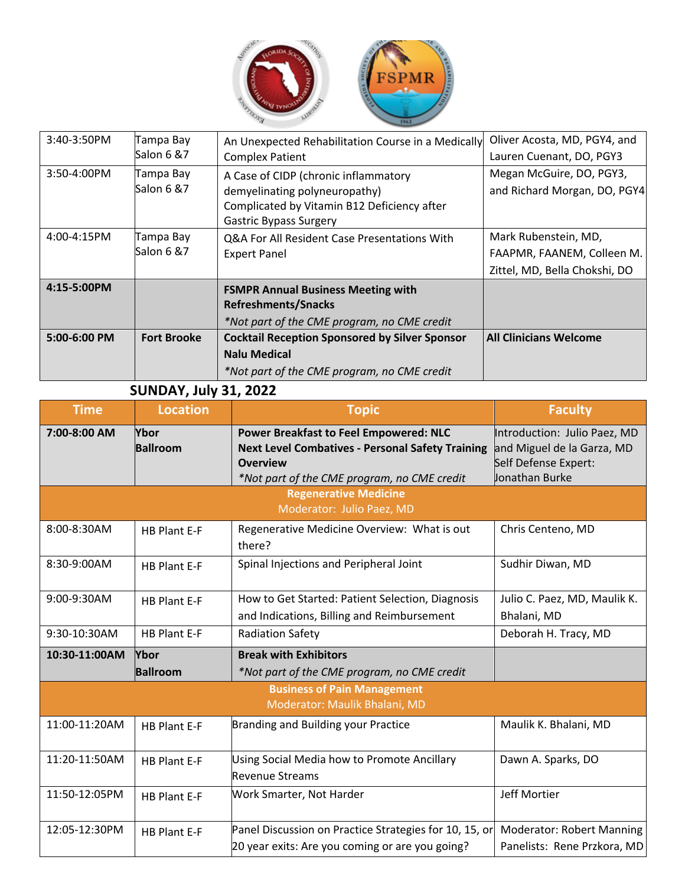

| 3:40-3:50PM  | Tampa Bay<br>Salon 6 &7  | An Unexpected Rehabilitation Course in a Medically<br><b>Complex Patient</b>                                                                          | Oliver Acosta, MD, PGY4, and<br>Lauren Cuenant, DO, PGY3                            |
|--------------|--------------------------|-------------------------------------------------------------------------------------------------------------------------------------------------------|-------------------------------------------------------------------------------------|
| 3:50-4:00PM  | Tampa Bay<br>Salon 6 &7  | A Case of CIDP (chronic inflammatory<br>demyelinating polyneuropathy)<br>Complicated by Vitamin B12 Deficiency after<br><b>Gastric Bypass Surgery</b> | Megan McGuire, DO, PGY3,<br>and Richard Morgan, DO, PGY4                            |
| 4:00-4:15PM  | Tampa Bay<br>Salon 6 & 7 | Q&A For All Resident Case Presentations With<br><b>Expert Panel</b>                                                                                   | Mark Rubenstein, MD,<br>FAAPMR, FAANEM, Colleen M.<br>Zittel, MD, Bella Chokshi, DO |
| 4:15-5:00PM  |                          | <b>FSMPR Annual Business Meeting with</b><br><b>Refreshments/Snacks</b><br>*Not part of the CME program, no CME credit                                |                                                                                     |
| 5:00-6:00 PM | <b>Fort Brooke</b>       | <b>Cocktail Reception Sponsored by Silver Sponsor</b><br><b>Nalu Medical</b><br>*Not part of the CME program, no CME credit                           | <b>All Clinicians Welcome</b>                                                       |

## **SUNDAY, July 31, 2022**

| <b>Time</b>   | <b>Location</b>                | <b>Topic</b>                                                                                                                                                               | <b>Faculty</b>                                                                                       |
|---------------|--------------------------------|----------------------------------------------------------------------------------------------------------------------------------------------------------------------------|------------------------------------------------------------------------------------------------------|
| 7:00-8:00 AM  | <b>Ybor</b><br><b>Ballroom</b> | <b>Power Breakfast to Feel Empowered: NLC</b><br><b>Next Level Combatives - Personal Safety Training</b><br><b>Overview</b><br>*Not part of the CME program, no CME credit | Introduction: Julio Paez, MD<br>and Miguel de la Garza, MD<br>Self Defense Expert:<br>Jonathan Burke |
|               |                                | <b>Regenerative Medicine</b><br>Moderator: Julio Paez, MD                                                                                                                  |                                                                                                      |
| 8:00-8:30AM   | <b>HB Plant E-F</b>            | Regenerative Medicine Overview: What is out<br>there?                                                                                                                      | Chris Centeno, MD                                                                                    |
| 8:30-9:00AM   | <b>HB Plant E-F</b>            | Spinal Injections and Peripheral Joint                                                                                                                                     | Sudhir Diwan, MD                                                                                     |
| 9:00-9:30AM   | <b>HB Plant E-F</b>            | How to Get Started: Patient Selection, Diagnosis<br>and Indications, Billing and Reimbursement                                                                             | Julio C. Paez, MD, Maulik K.<br>Bhalani, MD                                                          |
| 9:30-10:30AM  | <b>HB Plant E-F</b>            | <b>Radiation Safety</b>                                                                                                                                                    | Deborah H. Tracy, MD                                                                                 |
| 10:30-11:00AM | <b>Ybor</b><br><b>Ballroom</b> | <b>Break with Exhibitors</b><br>*Not part of the CME program, no CME credit                                                                                                |                                                                                                      |
|               |                                | <b>Business of Pain Management</b><br>Moderator: Maulik Bhalani, MD                                                                                                        |                                                                                                      |
| 11:00-11:20AM | <b>HB Plant E-F</b>            | <b>Branding and Building your Practice</b>                                                                                                                                 | Maulik K. Bhalani, MD                                                                                |
| 11:20-11:50AM | <b>HB Plant E-F</b>            | Using Social Media how to Promote Ancillary<br><b>Revenue Streams</b>                                                                                                      | Dawn A. Sparks, DO                                                                                   |
| 11:50-12:05PM | <b>HB Plant E-F</b>            | Work Smarter, Not Harder                                                                                                                                                   | <b>Jeff Mortier</b>                                                                                  |
| 12:05-12:30PM | HB Plant E-F                   | Panel Discussion on Practice Strategies for 10, 15, or<br>20 year exits: Are you coming or are you going?                                                                  | <b>Moderator: Robert Manning</b><br>Panelists: Rene Przkora, MD                                      |